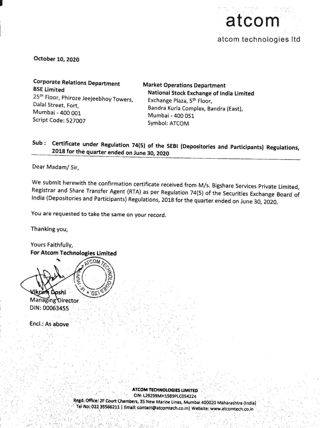

October 10, 2020

Corporate Relations Department<br>
BSE Limited<br>
25<sup>th</sup> Floor, Phiroze Jeejeebhoy Towers,<br>
Dalal Street, Fort,<br>
Mumbai - 400 001<br>
Script Code: 527007<br>
25th Code: 527007<br>
27th Code: 527007<br>
27th Code: 527007<br>
27th Code: 527007<br>

## Sub: Certificate under Regulation 74(5) of the SEBI (Depositories and Participants) Regulations, 2018 for the quarter ended on June 30, <sup>2020</sup>

Dear Madam/ Sir,

We submit herewith the confirmation certificate received from M/s. Bigshare Services Private Limited, Registrar and Share Transfer Agent (RTA) as per Regulation 74(5) of the Securities Exchange Board of India (Depositories

You are requested to take the same on your record.

Thanking you,

Yours Faithfully, For Atcom Technologies Limited m Doshi 'nï

Managing Director DIN: 00063455...

Encl.: As above

ATCOM TECHNOLOGIES LIMITED<br>Regd. Office: 2F Court Chambers, 35 New Marine Lines, Mumbai 400020 Maharashtra (India)<br>Tel No: 022 35566211 | Email: contact@atcomtech.co.in| Website: www.atcomtech.co.in